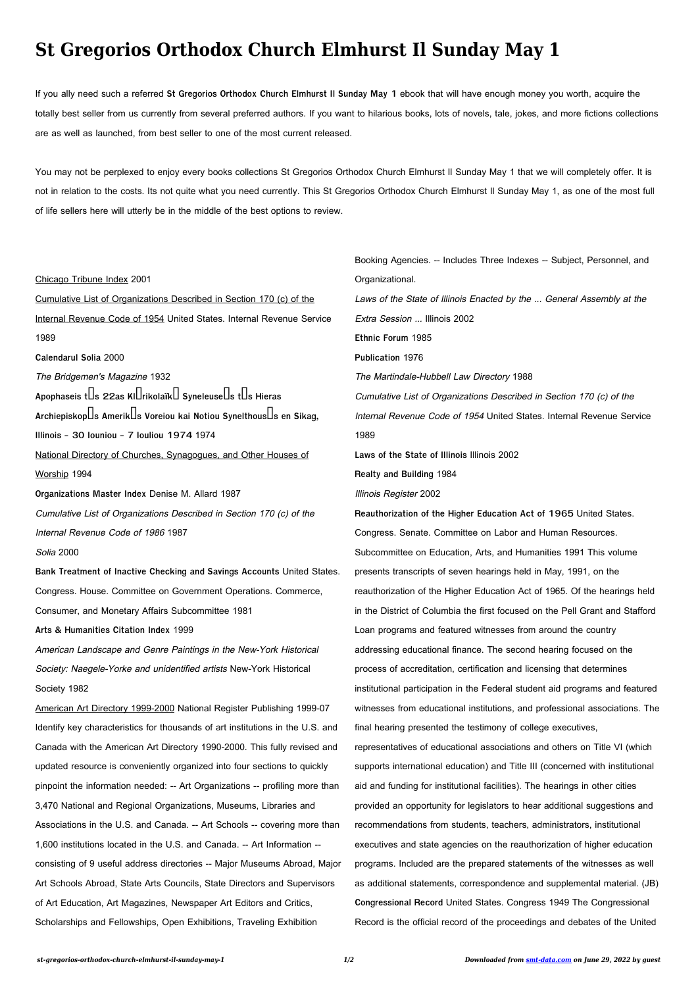## **St Gregorios Orthodox Church Elmhurst Il Sunday May 1**

If you ally need such a referred **St Gregorios Orthodox Church Elmhurst Il Sunday May 1** ebook that will have enough money you worth, acquire the totally best seller from us currently from several preferred authors. If you want to hilarious books, lots of novels, tale, jokes, and more fictions collections are as well as launched, from best seller to one of the most current released.

You may not be perplexed to enjoy every books collections St Gregorios Orthodox Church Elmhurst Il Sunday May 1 that we will completely offer. It is not in relation to the costs. Its not quite what you need currently. This St Gregorios Orthodox Church Elmhurst Il Sunday May 1, as one of the most full of life sellers here will utterly be in the middle of the best options to review.

Chicago Tribune Index 2001 Cumulative List of Organizations Described in Section 170 (c) of the Internal Revenue Code of 1954 United States. Internal Revenue Service 1989 **Calendarul Solia** 2000 The Bridgemen's Magazine 1932 Apophaseis t**Ds** 22as Kl**Drikolaïk** Syneleuse Is tDs Hieras Archiepiskop**ls Amerik** s Voreiou kai Notiou Synelthous s en Sikag, **Illinois - 30 Iouniou - 7 Iouliou 1974** 1974 National Directory of Churches, Synagogues, and Other Houses of Worship 1994 **Organizations Master Index** Denise M. Allard 1987 Cumulative List of Organizations Described in Section 170 (c) of the Internal Revenue Code of 1986 1987 Solia 2000 **Bank Treatment of Inactive Checking and Savings Accounts** United States. Congress. House. Committee on Government Operations. Commerce, Consumer, and Monetary Affairs Subcommittee 1981 **Arts & Humanities Citation Index** 1999 American Landscape and Genre Paintings in the New-York Historical Society: Naegele-Yorke and unidentified artists New-York Historical Society 1982 American Art Directory 1999-2000 National Register Publishing 1999-07 Identify key characteristics for thousands of art institutions in the U.S. and Canada with the American Art Directory 1990-2000. This fully revised and updated resource is conveniently organized into four sections to quickly pinpoint the information needed: -- Art Organizations -- profiling more than 3,470 National and Regional Organizations, Museums, Libraries and Associations in the U.S. and Canada. -- Art Schools -- covering more than 1,600 institutions located in the U.S. and Canada. -- Art Information - consisting of 9 useful address directories -- Major Museums Abroad, Major Art Schools Abroad, State Arts Councils, State Directors and Supervisors of Art Education, Art Magazines, Newspaper Art Editors and Critics, Scholarships and Fellowships, Open Exhibitions, Traveling Exhibition Booking Agencies. -- Includes Three Indexes -- Subject, Personnel, and Organizational. Laws of the State of Illinois Enacted by the ... General Assembly at the Extra Session ... Illinois 2002 **Ethnic Forum** 1985 **Publication** 1976 The Martindale-Hubbell Law Directory 1988 Cumulative List of Organizations Described in Section 170 (c) of the Internal Revenue Code of 1954 United States. Internal Revenue Service 1989 **Laws of the State of Illinois** Illinois 2002 **Realty and Building** 1984 Illinois Register 2002 **Reauthorization of the Higher Education Act of 1965** United States. Congress. Senate. Committee on Labor and Human Resources. Subcommittee on Education, Arts, and Humanities 1991 This volume presents transcripts of seven hearings held in May, 1991, on the reauthorization of the Higher Education Act of 1965. Of the hearings held in the District of Columbia the first focused on the Pell Grant and Stafford Loan programs and featured witnesses from around the country addressing educational finance. The second hearing focused on the process of accreditation, certification and licensing that determines institutional participation in the Federal student aid programs and featured witnesses from educational institutions, and professional associations. The final hearing presented the testimony of college executives, representatives of educational associations and others on Title VI (which supports international education) and Title III (concerned with institutional aid and funding for institutional facilities). The hearings in other cities provided an opportunity for legislators to hear additional suggestions and recommendations from students, teachers, administrators, institutional executives and state agencies on the reauthorization of higher education programs. Included are the prepared statements of the witnesses as well as additional statements, correspondence and supplemental material. (JB) **Congressional Record** United States. Congress 1949 The Congressional Record is the official record of the proceedings and debates of the United